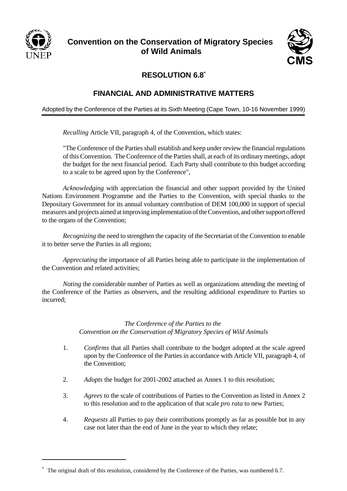

# **Convention on the Conservation of Migratory Species of Wild Animals**



# **RESOLUTION 6.8\***

#### **FINANCIAL AND ADMINISTRATIVE MATTERS**

Adopted by the Conference of the Parties at its Sixth Meeting (Cape Town, 10-16 November 1999)

*Recalling* Article VII, paragraph 4, of the Convention, which states:

"The Conference of the Parties shall establish and keep under review the financial regulations of this Convention. The Conference of the Parties shall, at each of its ordinary meetings, adopt the budget for the next financial period. Each Party shall contribute to this budget according to a scale to be agreed upon by the Conference",

*Acknowledging* with appreciation the financial and other support provided by the United Nations Environment Programme and the Parties to the Convention, with special thanks to the Depositary Government for its annual voluntary contribution of DEM 100,000 in support of special measures and projects aimed at improving implementation of the Convention, and other support offered to the organs of the Convention;

*Recognizing* the need to strengthen the capacity of the Secretariat of the Convention to enable it to better serve the Parties in all regions;

*Appreciating* the importance of all Parties being able to participate in the implementation of the Convention and related activities;

*Noting* the considerable number of Parties as well as organizations attending the meeting of the Conference of the Parties as observers, and the resulting additional expenditure to Parties so incurred;

#### *The Conference of the Parties to the Convention on the Conservation of Migratory Species of Wild Animals*

- 1. *Confirms* that all Parties shall contribute to the budget adopted at the scale agreed upon by the Conference of the Parties in accordance with Article VII, paragraph 4, of the Convention;
- 2. *Adopts* the budget for 2001-2002 attached as Annex 1 to this resolution;
- 3. *Agrees* to the scale of contributions of Parties to the Convention as listed in Annex 2 to this resolution and to the application of that scale *pro rata* to new Parties;
- 4. *Requests* all Parties to pay their contributions promptly as far as possible but in any case not later than the end of June in the year to which they relate;

<sup>\*</sup> The original draft of this resolution, considered by the Conference of the Parties, was numbered 6.7.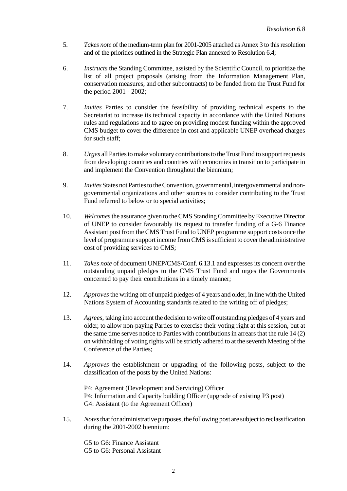- 5. *Takes note* of the medium-term plan for 2001-2005 attached as Annex 3 to this resolution and of the priorities outlined in the Strategic Plan annexed to Resolution 6.4;
- 6. *Instructs* the Standing Committee, assisted by the Scientific Council, to prioritize the list of all project proposals (arising from the Information Management Plan, conservation measures, and other subcontracts) to be funded from the Trust Fund for the period 2001 - 2002;
- 7. *Invites* Parties to consider the feasibility of providing technical experts to the Secretariat to increase its technical capacity in accordance with the United Nations rules and regulations and to agree on providing modest funding within the approved CMS budget to cover the difference in cost and applicable UNEP overhead charges for such staff;
- 8. *Urges* all Parties to make voluntary contributions to the Trust Fund to support requests from developing countries and countries with economies in transition to participate in and implement the Convention throughout the biennium;
- 9. *Invites* States not Parties to the Convention, governmental, intergovernmental and nongovernmental organizations and other sources to consider contributing to the Trust Fund referred to below or to special activities;
- 10. *Welcomes* the assurance given to the CMS Standing Committee by Executive Director of UNEP to consider favourably its request to transfer funding of a G-6 Finance Assistant post from the CMS Trust Fund to UNEP programme support costs once the level of programme support income from CMS is sufficient to cover the administrative cost of providing services to CMS;
- 11. *Takes note* of document UNEP/CMS/Conf. 6.13.1 and expresses its concern over the outstanding unpaid pledges to the CMS Trust Fund and urges the Governments concerned to pay their contributions in a timely manner;
- 12. *Approves*the writing off of unpaid pledges of 4 years and older, in line with the United Nations System of Accounting standards related to the writing off of pledges;
- 13. *Agrees*, taking into account the decision to write off outstanding pledges of 4 years and older, to allow non-paying Parties to exercise their voting right at this session, but at the same time serves notice to Parties with contributions in arrears that the rule 14 (2) on withholding of voting rights will be strictly adhered to at the seventh Meeting of the Conference of the Parties;
- 14. *Approves* the establishment or upgrading of the following posts, subject to the classification of the posts by the United Nations:

P4: Agreement (Development and Servicing) Officer P4: Information and Capacity building Officer (upgrade of existing P3 post) G4: Assistant (to the Agreement Officer)

15. *Notes* that for administrative purposes, the following post are subject to reclassification during the 2001-2002 biennium:

G5 to G6: Finance Assistant G5 to G6: Personal Assistant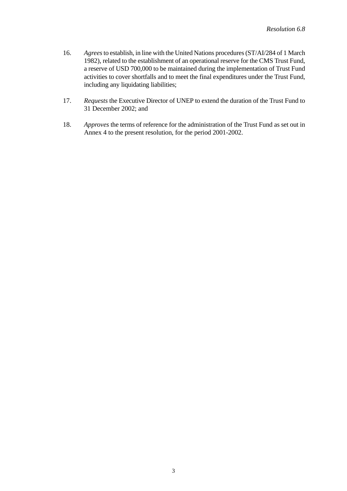- 16. *Agrees* to establish, in line with the United Nations procedures (ST/AI/284 of 1 March 1982), related to the establishment of an operational reserve for the CMS Trust Fund, a reserve of USD 700,000 to be maintained during the implementation of Trust Fund activities to cover shortfalls and to meet the final expenditures under the Trust Fund, including any liquidating liabilities;
- 17. *Requests* the Executive Director of UNEP to extend the duration of the Trust Fund to 31 December 2002; and
- 18. *Approves* the terms of reference for the administration of the Trust Fund as set out in Annex 4 to the present resolution, for the period 2001-2002.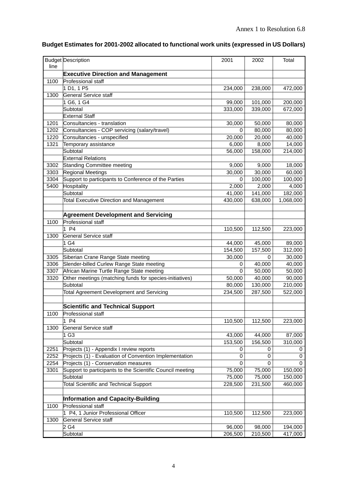| line | <b>Budget Description</b>                                 | 2001               | 2002        | Total       |
|------|-----------------------------------------------------------|--------------------|-------------|-------------|
|      | <b>Executive Direction and Management</b>                 |                    |             |             |
| 1100 | Professional staff                                        |                    |             |             |
|      | 1 D1, 1 P5                                                | 234,000            | 238,000     | 472,000     |
| 1300 | General Service staff                                     |                    |             |             |
|      | 1 G6, 1 G4                                                | 99,000             | 101,000     | 200,000     |
|      | Subtotal                                                  | 333,000            | 339,000     | 672,000     |
|      | <b>External Staff</b>                                     |                    |             |             |
| 1201 | Consultancies - translation                               | 30,000             | 50,000      | 80,000      |
| 1202 | Consultancies - COP servicing (salary/travel)             | 0                  | 80,000      | 80,000      |
| 1220 | Consultancies - unspecified                               | 20,000             | 20,000      | 40,000      |
| 1321 | Temporary assistance                                      | 6,000              | 8,000       | 14,000      |
|      | Subtotal                                                  | 56,000             | 158,000     | 214,000     |
|      | <b>External Relations</b>                                 |                    |             |             |
| 3302 | Standing Committee meeting                                | 9,000              | 9,000       | 18,000      |
| 3303 | <b>Regional Meetings</b>                                  | 30,000             | 30,000      | 60,000      |
| 3304 | Support to participants to Conference of the Parties      | 0                  | 100,000     | 100,000     |
| 5400 | Hospitality                                               | 2,000              | 2,000       | 4,000       |
|      | Subtotal                                                  | 41,000             | 141,000     | 182,000     |
|      | <b>Total Executive Direction and Management</b>           | 430,000            | 638,000     | 1,068,000   |
|      |                                                           |                    |             |             |
|      | <b>Agreement Development and Servicing</b>                |                    |             |             |
| 1100 | Professional staff                                        |                    |             |             |
|      | P <sub>4</sub>                                            | 110,500            | 112,500     | 223,000     |
| 1300 | General Service staff                                     |                    |             |             |
|      | 1 G4                                                      | 44,000             | 45,000      | 89,000      |
|      | Subtotal                                                  | 154,500            | 157,500     | 312,000     |
| 3305 | Siberian Crane Range State meeting                        | 30,000             | 0           | 30,000      |
| 3306 | Slender-billed Curlew Range State meeting                 | 0                  | 40,000      | 40,000      |
| 3307 | African Marine Turtle Range State meeting                 | 0                  | 50,000      | 50,000      |
| 3320 | Other meetings (matching funds for species-initiatives)   | 50,000             | 40,000      | 90,000      |
|      | Subtotal                                                  | 80,000             | 130,000     | 210,000     |
|      | <b>Total Agreement Development and Servicing</b>          | 234,500            | 287,500     | 522,000     |
|      |                                                           |                    |             |             |
|      | <b>Scientific and Technical Support</b>                   |                    |             |             |
| 1100 | Professional staff<br>1 P4                                |                    |             |             |
|      |                                                           | 110,500            | 112,500     | 223,000     |
| 1300 | <b>General Service staff</b>                              |                    |             |             |
|      | 1 <sub>G3</sub>                                           | 43,000<br>153,500  | 44,000      | 87,000      |
| 2251 | Subtotal<br>Projects (1) - Appendix I review reports      |                    | 156,500     | 310,000     |
| 2252 | Projects (1) - Evaluation of Convention Implementation    | 0<br>0             | 0<br>0      | 0<br>0      |
| 2254 | Projects (1) - Conservation measures                      | 0                  | $\mathbf 0$ | $\mathbf 0$ |
| 3301 | Support to participants to the Scientific Council meeting | 75,000             | 75,000      | 150,000     |
|      | Subtotal                                                  | 75,000             | 75,000      | 150,000     |
|      | <b>Total Scientific and Technical Support</b>             | 228,500            | 231,500     | 460,000     |
|      |                                                           |                    |             |             |
|      | <b>Information and Capacity-Building</b>                  |                    |             |             |
| 1100 | Professional staff                                        |                    |             |             |
|      | 1 P4, 1 Junior Professional Officer                       | 110,500            | 112,500     | 223,000     |
| 1300 | <b>General Service staff</b>                              |                    |             |             |
|      | $2\overline{G}4$                                          | $\frac{1}{96,000}$ | 98,000      | 194,000     |
|      | Subtotal                                                  | 206,500            | 210,500     | 417,000     |
|      |                                                           |                    |             |             |

## **Budget Estimates for 2001-2002 allocated to functional work units (expressed in US Dollars)**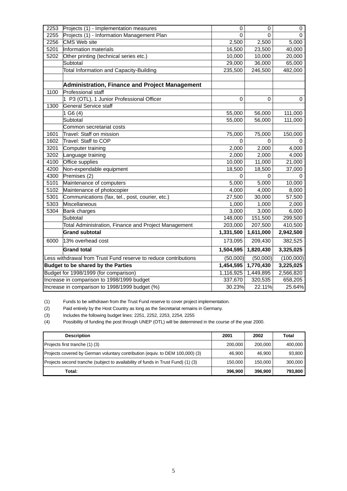| 2253                                           | Projects (1) - Implementation measures                          | 0         | 0         | 0           |
|------------------------------------------------|-----------------------------------------------------------------|-----------|-----------|-------------|
| 2255                                           | Projects (1) - Information Management Plan                      | 0         | 0         | 0           |
| 2256                                           | <b>CMS Web site</b>                                             | 2,500     | 2,500     | 5,000       |
| 5201                                           | Information materials                                           | 16,500    | 23,500    | 40,000      |
| 5202                                           | Other printing (technical series etc.)                          | 10,000    | 10,000    | 20,000      |
|                                                | Subtotal                                                        | 29,000    | 36,000    | 65,000      |
|                                                | Total Information and Capacity-Building                         | 235,500   | 246,500   | 482,000     |
|                                                |                                                                 |           |           |             |
|                                                | Administration, Finance and Project Management                  |           |           |             |
| 1100                                           | Professional staff                                              |           |           |             |
|                                                | 1 P3 (OTL), 1 Junior Professional Officer                       | 0         | $\Omega$  | $\mathbf 0$ |
| 1300                                           | General Service staff                                           |           |           |             |
|                                                | 1 G6(4)                                                         | 55,000    | 56,000    | 111,000     |
|                                                | Subtotal                                                        | 55,000    | 56,000    | 111,000     |
|                                                | Common secretariat costs                                        |           |           |             |
| 1601                                           | Travel: Staff on mission                                        | 75,000    | 75,000    | 150,000     |
| 1602                                           | Travel: Staff to COP                                            | 0         | $\Omega$  |             |
| 3201                                           | Computer training                                               | 2,000     | 2,000     | 4,000       |
| 3202                                           | Language training                                               | 2,000     | 2,000     | 4,000       |
| 4100                                           | Office supplies                                                 | 10,000    | 11,000    | 21,000      |
| 4200                                           | Non-expendable equipment                                        | 18,500    | 18,500    | 37,000      |
| 4300                                           | Premises (2)                                                    | 0         | 0         | 0           |
| 5101                                           | Maintenance of computers                                        | 5,000     | 5,000     | 10,000      |
| 5102                                           | Maintenance of photocopier                                      | 4,000     | 4,000     | 8,000       |
| 5301                                           | Communications (fax, tel., post, courier, etc.)                 | 27,500    | 30,000    | 57,500      |
| 5303                                           | Miscellaneous                                                   | 1,000     | 1,000     | 2,000       |
| 5304                                           | <b>Bank charges</b>                                             | 3,000     | 3,000     | 6,000       |
|                                                | Subtotal                                                        | 148,000   | 151,500   | 299,500     |
|                                                | Total Administration, Finance and Project Management            | 203,000   | 207,500   | 410,500     |
|                                                | <b>Grand subtotal</b>                                           | 1,331,500 | 1,611,000 | 2,942,500   |
| 6000                                           | 13% overhead cost                                               | 173,095   | 209,430   | 382,525     |
|                                                | <b>Grand total</b>                                              | 1,504,595 | 1,820,430 | 3,325,025   |
|                                                | Less withdrawal from Trust Fund reserve to reduce contributions | (50,000)  | (50,000)  | (100,000)   |
| <b>Budget to be shared by the Parties</b>      |                                                                 | 1,454,595 | 1,770,430 | 3,225,025   |
|                                                | Budget for 1998/1999 (for comparison)                           | 1,116,925 | 1,449,895 | 2,566,820   |
| Increase in comparison to 1998/1999 budget     |                                                                 | 337,670   | 320,535   | 658,205     |
| Increase in comparison to 1998/1999 budget (%) |                                                                 | 30.23%    | 22.11%    | 25.64%      |

(1) Funds to be withdrawn from the Trust Fund reserve to cover project implementation.

(2) Paid entirely by the Host Country as long as the Secretariat remains in Germany.

(3) Includes the following budget lines: 2251, 2252, 2253, 2254, 2255

(4) Possibility of funding the post through UNEP (OTL) will be determined in the course of the year 2000.

| <b>Description</b>                                                               | 2001    | 2002    | Total   |
|----------------------------------------------------------------------------------|---------|---------|---------|
| Projects first tranche (1) (3)                                                   | 200.000 | 200.000 | 400,000 |
| Projects covered by German voluntary contribution (equiv. to DEM 100,000) (3)    | 46.900  | 46.900  | 93,800  |
| Projects second tranche (subject to availability of funds in Trust Fund) (1) (3) | 150.000 | 150.000 | 300,000 |
| Total:                                                                           | 396.900 | 396.900 | 793,800 |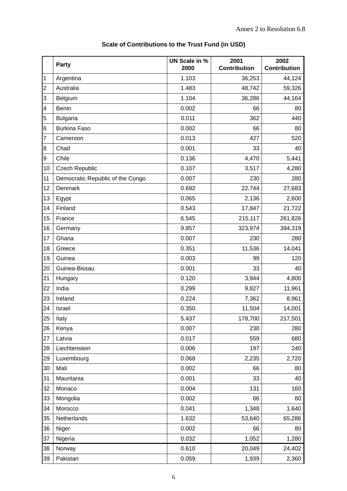|                | Party                            | <b>UN Scale in %</b><br>2000 | 2001<br>Contribution | 2002<br><b>Contribution</b> |
|----------------|----------------------------------|------------------------------|----------------------|-----------------------------|
| $\mathbf 1$    | Argentina                        | 1.103                        | 36,253               | 44,124                      |
| $\overline{c}$ | Australia                        | 1.483                        | 48,742               | 59,326                      |
| 3              | Belgium                          | 1.104                        | 36,286               | 44,164                      |
| 4              | <b>Benin</b>                     | 0.002                        | 66                   | 80                          |
| 5              | <b>Bulgaria</b>                  | 0.011                        | 362                  | 440                         |
| 6              | <b>Burkina Faso</b>              | 0.002                        | 66                   | 80                          |
| 7              | Cameroon                         | 0.013                        | 427                  | 520                         |
| 8              | Chad                             | 0.001                        | 33                   | 40                          |
| 9              | Chile                            | 0.136                        | 4,470                | 5,441                       |
| 10             | <b>Czech Republic</b>            | 0.107                        | 3,517                | 4,280                       |
| 11             | Democratic Republic of the Congo | 0.007                        | 230                  | 280                         |
| 12             | Denmark                          | 0.692                        | 22,744               | 27,683                      |
| 13             | Egypt                            | 0.065                        | 2,136                | 2,600                       |
| 14             | Finland                          | 0.543                        | 17,847               | 21,722                      |
| 15             | France                           | 6.545                        | 215,117              | 261,826                     |
| 16             | Germany                          | 9.857                        | 323,974              | 394,319                     |
| 17             | Ghana                            | 0.007                        | 230                  | 280                         |
| 18             | Greece                           | 0.351                        | 11,536               | 14,041                      |
| 19             | Guinea                           | 0.003                        | 99                   | 120                         |
| 20             | Guinea-Bissau                    | 0.001                        | 33                   | 40                          |
| 21             | Hungary                          | 0.120                        | 3,944                | 4,800                       |
| 22             | India                            | 0.299                        | 9,827                | 11,961                      |
| 23             | Ireland                          | 0.224                        | 7,362                | 8,961                       |
| 24             | Israel                           | 0.350                        | 11,504               | 14,001                      |
| 25             | Italy                            | 5.437                        | 178,700              | 217,501                     |
| 26             | Kenya                            | 0.007                        | 230                  | 280                         |
| 27             | Latvia                           | 0.017                        | 559                  | 680                         |
| 28             | Liechtenstein                    | 0.006                        | 197                  | 240                         |
| 29             | Luxembourg                       | 0.068                        | 2,235                | 2,720                       |
| 30             | Mali                             | 0.002                        | 66                   | 80                          |
| 31             | Mauritania                       | 0.001                        | 33                   | 40                          |
| 32             | Monaco                           | 0.004                        | 131                  | 160                         |
| 33             | Mongolia                         | 0.002                        | 66                   | 80                          |
| 34             | Morocco                          | 0.041                        | 1,348                | 1,640                       |
| 35             | Netherlands                      | 1.632                        | 53,640               | 65,286                      |
| 36             | Niger                            | 0.002                        | 66                   | 80                          |
| 37             | Nigeria                          | 0.032                        | 1,052                | 1,280                       |
| 38             | Norway                           | 0.610                        | 20,049               | 24,402                      |
| 39             | Pakistan                         | 0.059                        | 1,939                | 2,360                       |

## **Scale of Contributions to the Trust Fund (in USD)**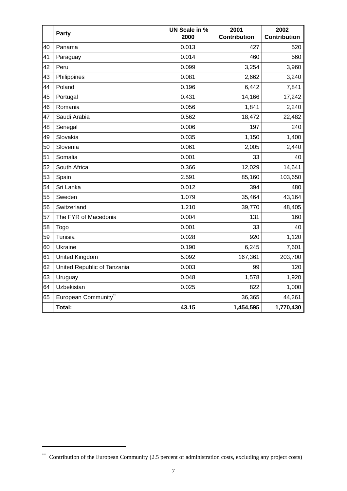|    | Party                       | <b>UN Scale in %</b><br>2000 | 2001<br>Contribution | 2002<br>Contribution |
|----|-----------------------------|------------------------------|----------------------|----------------------|
| 40 | Panama                      | 0.013                        | 427                  | 520                  |
| 41 | Paraguay                    | 0.014                        | 460                  | 560                  |
| 42 | Peru                        | 0.099                        | 3,254                | 3,960                |
| 43 | Philippines                 | 0.081                        | 2,662                | 3,240                |
| 44 | Poland                      | 0.196                        | 6,442                | 7,841                |
| 45 | Portugal                    | 0.431                        | 14,166               | 17,242               |
| 46 | Romania                     | 0.056                        | 1,841                | 2,240                |
| 47 | Saudi Arabia                | 0.562                        | 18,472               | 22,482               |
| 48 | Senegal                     | 0.006                        | 197                  | 240                  |
| 49 | Slovakia                    | 0.035                        | 1,150                | 1,400                |
| 50 | Slovenia                    | 0.061                        | 2,005                | 2,440                |
| 51 | Somalia                     | 0.001                        | 33                   | 40                   |
| 52 | South Africa                | 0.366                        | 12,029               | 14,641               |
| 53 | Spain                       | 2.591                        | 85,160               | 103,650              |
| 54 | Sri Lanka                   | 0.012                        | 394                  | 480                  |
| 55 | Sweden                      | 1.079                        | 35,464               | 43,164               |
| 56 | Switzerland                 | 1.210                        | 39,770               | 48,405               |
| 57 | The FYR of Macedonia        | 0.004                        | 131                  | 160                  |
| 58 | Togo                        | 0.001                        | 33                   | 40                   |
| 59 | Tunisia                     | 0.028                        | 920                  | 1,120                |
| 60 | Ukraine                     | 0.190                        | 6,245                | 7,601                |
| 61 | United Kingdom              | 5.092                        | 167,361              | 203,700              |
| 62 | United Republic of Tanzania | 0.003                        | 99                   | 120                  |
| 63 | Uruguay                     | 0.048                        | 1,578                | 1,920                |
| 64 | Uzbekistan                  | 0.025                        | 822                  | 1,000                |
| 65 | European Community**        |                              | 36,365               | 44,261               |
|    | <b>Total:</b>               | 43.15                        | 1,454,595            | 1,770,430            |

<sup>\*\*</sup> Contribution of the European Community (2.5 percent of administration costs, excluding any project costs)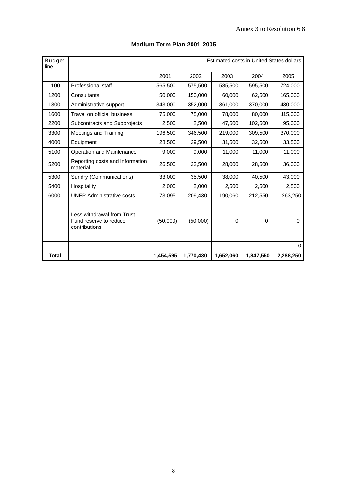#### **Medium Term Plan 2001-2005**

| <b>Budget</b><br>line |                                                                       | Estimated costs in United States dollars |           |           |           |             |
|-----------------------|-----------------------------------------------------------------------|------------------------------------------|-----------|-----------|-----------|-------------|
|                       |                                                                       | 2001                                     | 2002      | 2003      | 2004      | 2005        |
| 1100                  | <b>Professional staff</b>                                             | 565,500                                  | 575,500   | 585,500   | 595,500   | 724,000     |
| 1200                  | Consultants                                                           | 50,000                                   | 150,000   | 60,000    | 62,500    | 165,000     |
| 1300                  | Administrative support                                                | 343,000                                  | 352,000   | 361,000   | 370,000   | 430,000     |
| 1600                  | Travel on official business                                           | 75,000                                   | 75,000    | 78,000    | 80,000    | 115,000     |
| 2200                  | Subcontracts and Subprojects                                          | 2,500                                    | 2,500     | 47,500    | 102,500   | 95,000      |
| 3300                  | <b>Meetings and Training</b>                                          | 196,500                                  | 346,500   | 219,000   | 309,500   | 370,000     |
| 4000                  | Equipment                                                             | 28,500                                   | 29,500    | 31,500    | 32,500    | 33,500      |
| 5100                  | Operation and Maintenance                                             | 9,000                                    | 9,000     | 11,000    | 11,000    | 11,000      |
| 5200                  | Reporting costs and Information<br>material                           | 26,500                                   | 33,500    | 28,000    | 28,500    | 36,000      |
| 5300                  | Sundry (Communications)                                               | 33,000                                   | 35,500    | 38,000    | 40,500    | 43,000      |
| 5400                  | Hospitality                                                           | 2,000                                    | 2,000     | 2,500     | 2,500     | 2,500       |
| 6000                  | <b>UNEP Administrative costs</b>                                      | 173,095                                  | 209,430   | 190,060   | 212,550   | 263,250     |
|                       |                                                                       |                                          |           |           |           |             |
|                       | Less withdrawal from Trust<br>Fund reserve to reduce<br>contributions | (50,000)                                 | (50,000)  | $\Omega$  | 0         | $\Omega$    |
|                       |                                                                       |                                          |           |           |           |             |
|                       |                                                                       |                                          |           |           |           | $\mathbf 0$ |
| <b>Total</b>          |                                                                       | 1,454,595                                | 1,770,430 | 1,652,060 | 1,847,550 | 2,288,250   |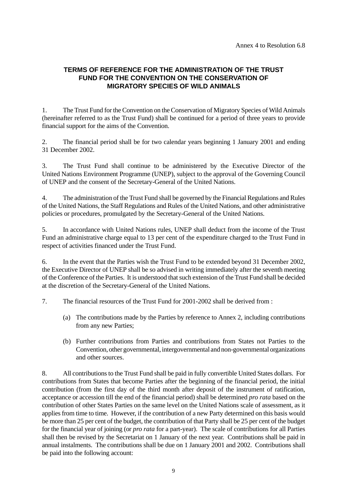#### **TERMS OF REFERENCE FOR THE ADMINISTRATION OF THE TRUST FUND FOR THE CONVENTION ON THE CONSERVATION OF MIGRATORY SPECIES OF WILD ANIMALS**

1. The Trust Fund for the Convention on the Conservation of Migratory Species of Wild Animals (hereinafter referred to as the Trust Fund) shall be continued for a period of three years to provide financial support for the aims of the Convention.

2. The financial period shall be for two calendar years beginning 1 January 2001 and ending 31 December 2002.

3. The Trust Fund shall continue to be administered by the Executive Director of the United Nations Environment Programme (UNEP), subject to the approval of the Governing Council of UNEP and the consent of the Secretary-General of the United Nations.

4. The administration of the Trust Fund shall be governed by the Financial Regulations and Rules of the United Nations, the Staff Regulations and Rules of the United Nations, and other administrative policies or procedures, promulgated by the Secretary-General of the United Nations.

5. In accordance with United Nations rules, UNEP shall deduct from the income of the Trust Fund an administrative charge equal to 13 per cent of the expenditure charged to the Trust Fund in respect of activities financed under the Trust Fund.

6. In the event that the Parties wish the Trust Fund to be extended beyond 31 December 2002, the Executive Director of UNEP shall be so advised in writing immediately after the seventh meeting of the Conference of the Parties. It is understood that such extension of the Trust Fund shall be decided at the discretion of the Secretary-General of the United Nations.

7. The financial resources of the Trust Fund for 2001-2002 shall be derived from :

- (a) The contributions made by the Parties by reference to Annex 2, including contributions from any new Parties;
- (b) Further contributions from Parties and contributions from States not Parties to the Convention, other governmental, intergovernmental and non-governmental organizations and other sources.

8. All contributions to the Trust Fund shall be paid in fully convertible United States dollars. For contributions from States that become Parties after the beginning of the financial period, the initial contribution (from the first day of the third month after deposit of the instrument of ratification, acceptance or accession till the end of the financial period) shall be determined *pro rata* based on the contribution of other States Parties on the same level on the United Nations scale of assessment, as it applies from time to time. However, if the contribution of a new Party determined on this basis would be more than 25 per cent of the budget, the contribution of that Party shall be 25 per cent of the budget for the financial year of joining (or *pro rata* for a part-year). The scale of contributions for all Parties shall then be revised by the Secretariat on 1 January of the next year. Contributions shall be paid in annual instalments. The contributions shall be due on 1 January 2001 and 2002. Contributions shall be paid into the following account: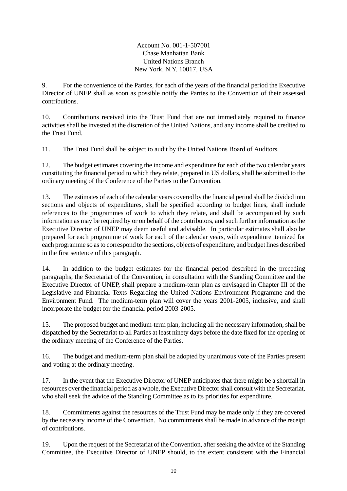Account No. 001-1-507001 Chase Manhattan Bank United Nations Branch New York, N.Y. 10017, USA

9. For the convenience of the Parties, for each of the years of the financial period the Executive Director of UNEP shall as soon as possible notify the Parties to the Convention of their assessed contributions.

10. Contributions received into the Trust Fund that are not immediately required to finance activities shall be invested at the discretion of the United Nations, and any income shall be credited to the Trust Fund.

11. The Trust Fund shall be subject to audit by the United Nations Board of Auditors.

12. The budget estimates covering the income and expenditure for each of the two calendar years constituting the financial period to which they relate, prepared in US dollars, shall be submitted to the ordinary meeting of the Conference of the Parties to the Convention.

13. The estimates of each of the calendar years covered by the financial period shall be divided into sections and objects of expenditures, shall be specified according to budget lines, shall include references to the programmes of work to which they relate, and shall be accompanied by such information as may be required by or on behalf of the contributors, and such further information as the Executive Director of UNEP may deem useful and advisable. In particular estimates shall also be prepared for each programme of work for each of the calendar years, with expenditure itemized for each programme so as to correspond to the sections, objects of expenditure, and budget lines described in the first sentence of this paragraph.

14. In addition to the budget estimates for the financial period described in the preceding paragraphs, the Secretariat of the Convention, in consultation with the Standing Committee and the Executive Director of UNEP, shall prepare a medium-term plan as envisaged in Chapter III of the Legislative and Financial Texts Regarding the United Nations Environment Programme and the Environment Fund. The medium-term plan will cover the years 2001-2005, inclusive, and shall incorporate the budget for the financial period 2003-2005.

15. The proposed budget and medium-term plan, including all the necessary information, shall be dispatched by the Secretariat to all Parties at least ninety days before the date fixed for the opening of the ordinary meeting of the Conference of the Parties.

16. The budget and medium-term plan shall be adopted by unanimous vote of the Parties present and voting at the ordinary meeting.

17. In the event that the Executive Director of UNEP anticipates that there might be a shortfall in resources over the financial period as a whole, the Executive Director shall consult with the Secretariat, who shall seek the advice of the Standing Committee as to its priorities for expenditure.

18. Commitments against the resources of the Trust Fund may be made only if they are covered by the necessary income of the Convention. No commitments shall be made in advance of the receipt of contributions.

19. Upon the request of the Secretariat of the Convention, after seeking the advice of the Standing Committee, the Executive Director of UNEP should, to the extent consistent with the Financial